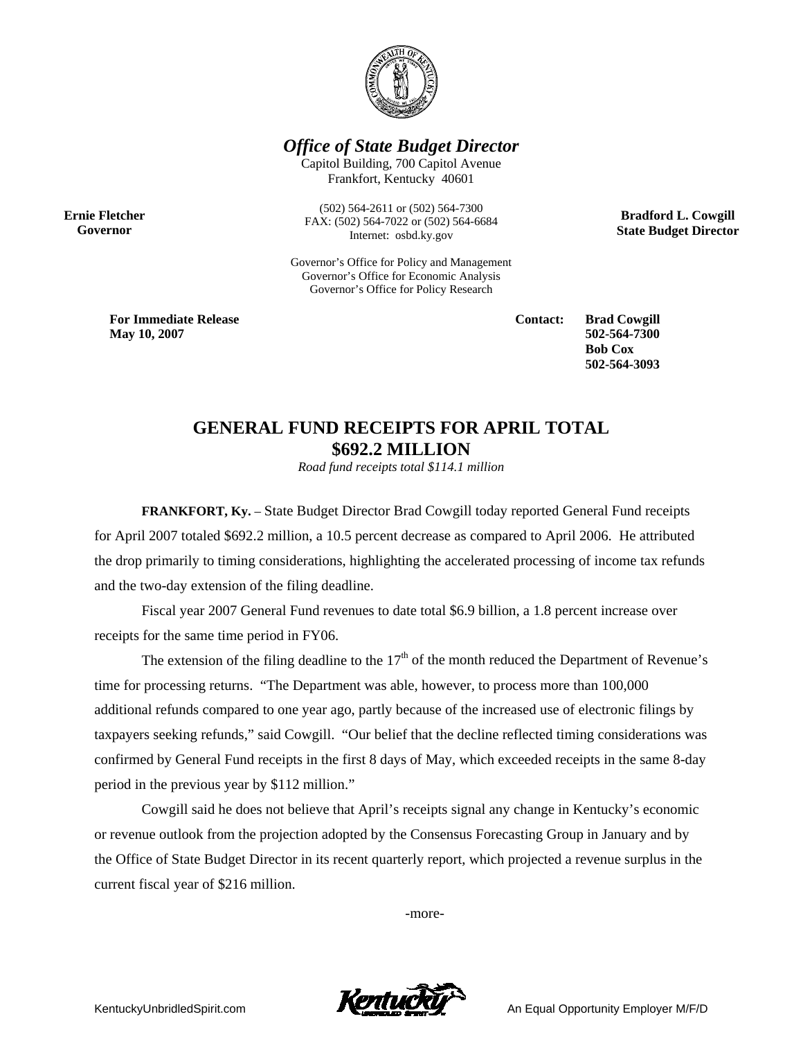

*Office of State Budget Director* 

Capitol Building, 700 Capitol Avenue Frankfort, Kentucky 40601

**Ernie Fletcher Governor** 

(502) 564-2611 or (502) 564-7300 FAX: (502) 564-7022 or (502) 564-6684 Internet: osbd.ky.gov

Governor's Office for Policy and Management Governor's Office for Economic Analysis Governor's Office for Policy Research

**Bradford L. Cowgill State Budget Director** 

**For Immediate Release May 10, 2007**

**Contact: Brad Cowgill 502-564-7300 Bob Cox 502-564-3093** 

## **GENERAL FUND RECEIPTS FOR APRIL TOTAL \$692.2 MILLION**

*Road fund receipts total \$114.1 million*

 **FRANKFORT, Ky.** – State Budget Director Brad Cowgill today reported General Fund receipts for April 2007 totaled \$692.2 million, a 10.5 percent decrease as compared to April 2006. He attributed the drop primarily to timing considerations, highlighting the accelerated processing of income tax refunds and the two-day extension of the filing deadline.

 Fiscal year 2007 General Fund revenues to date total \$6.9 billion, a 1.8 percent increase over receipts for the same time period in FY06.

The extension of the filing deadline to the  $17<sup>th</sup>$  of the month reduced the Department of Revenue's time for processing returns. "The Department was able, however, to process more than 100,000 additional refunds compared to one year ago, partly because of the increased use of electronic filings by taxpayers seeking refunds," said Cowgill. "Our belief that the decline reflected timing considerations was confirmed by General Fund receipts in the first 8 days of May, which exceeded receipts in the same 8-day period in the previous year by \$112 million."

Cowgill said he does not believe that April's receipts signal any change in Kentucky's economic or revenue outlook from the projection adopted by the Consensus Forecasting Group in January and by the Office of State Budget Director in its recent quarterly report, which projected a revenue surplus in the current fiscal year of \$216 million.

-more-

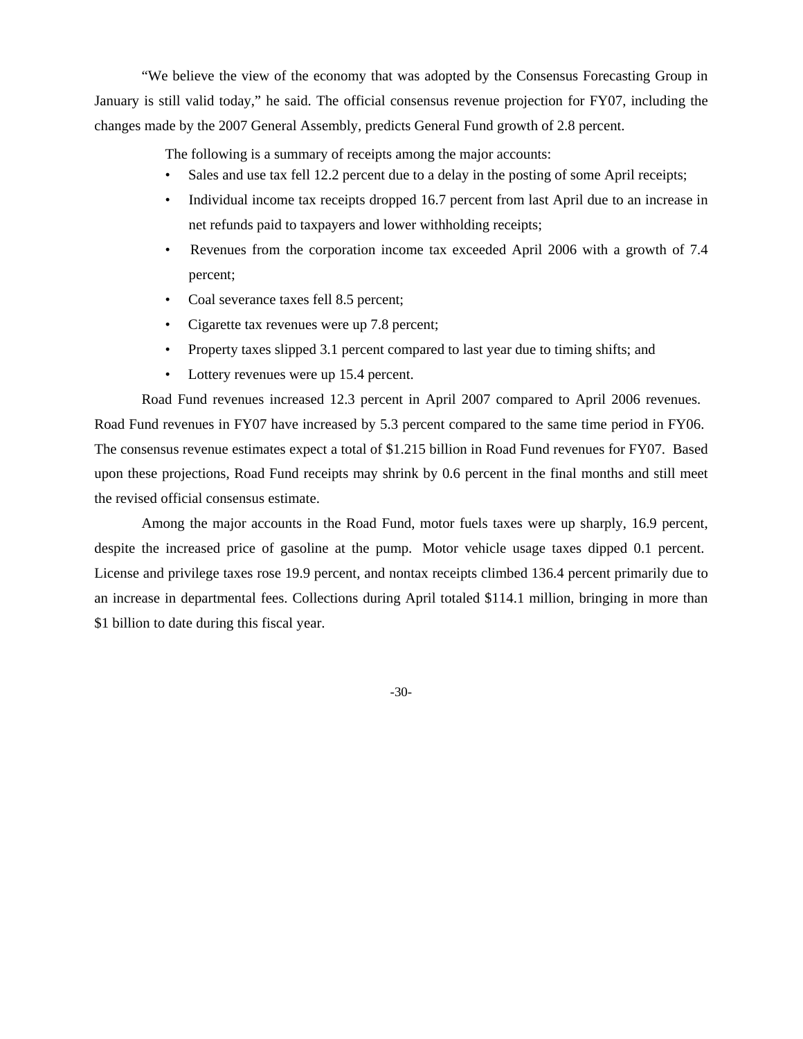"We believe the view of the economy that was adopted by the Consensus Forecasting Group in January is still valid today," he said. The official consensus revenue projection for FY07, including the changes made by the 2007 General Assembly, predicts General Fund growth of 2.8 percent.

The following is a summary of receipts among the major accounts:

- Sales and use tax fell 12.2 percent due to a delay in the posting of some April receipts;
- Individual income tax receipts dropped 16.7 percent from last April due to an increase in net refunds paid to taxpayers and lower withholding receipts;
- Revenues from the corporation income tax exceeded April 2006 with a growth of 7.4 percent;
- Coal severance taxes fell 8.5 percent;
- Cigarette tax revenues were up 7.8 percent;
- Property taxes slipped 3.1 percent compared to last year due to timing shifts; and
- Lottery revenues were up 15.4 percent.

Road Fund revenues increased 12.3 percent in April 2007 compared to April 2006 revenues. Road Fund revenues in FY07 have increased by 5.3 percent compared to the same time period in FY06. The consensus revenue estimates expect a total of \$1.215 billion in Road Fund revenues for FY07. Based upon these projections, Road Fund receipts may shrink by 0.6 percent in the final months and still meet the revised official consensus estimate.

Among the major accounts in the Road Fund, motor fuels taxes were up sharply, 16.9 percent, despite the increased price of gasoline at the pump. Motor vehicle usage taxes dipped 0.1 percent. License and privilege taxes rose 19.9 percent, and nontax receipts climbed 136.4 percent primarily due to an increase in departmental fees. Collections during April totaled \$114.1 million, bringing in more than \$1 billion to date during this fiscal year.

-30-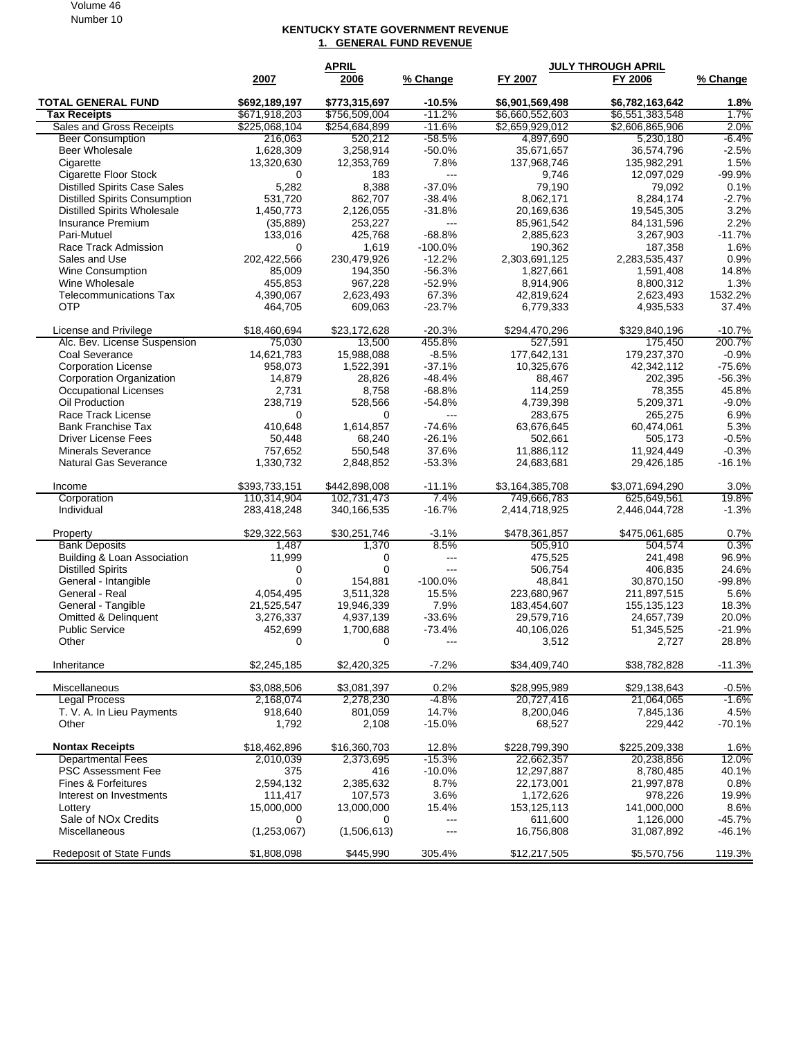Volume 46 Number 10

## **KENTUCKY STATE GOVERNMENT REVENUE 1. GENERAL FUND REVENUE**

|                                      | <b>APRIL</b>  |               |                        | <b>JULY THROUGH APRIL</b> |                 |                  |  |
|--------------------------------------|---------------|---------------|------------------------|---------------------------|-----------------|------------------|--|
|                                      | 2007          | 2006          | % Change               | FY 2007                   | FY 2006         | % Change         |  |
| <b>TOTAL GENERAL FUND</b>            | \$692,189,197 | \$773,315,697 | $-10.5%$               | \$6,901,569,498           | \$6,782,163,642 | 1.8%             |  |
| <b>Tax Receipts</b>                  | \$671,918,203 | \$756,509,004 | $-11.2%$               | \$6,660,552,603           | \$6,551,383,548 | 1.7%             |  |
| Sales and Gross Receipts             | \$225,068,104 | \$254,684,899 | $-11.6%$               | \$2,659,929,012           | \$2,606,865,906 | 2.0%             |  |
| <b>Beer Consumption</b>              | 216,063       | 520,212       | $-58.5%$               | 4,897,690                 | 5,230,180       | $-6.4%$          |  |
| <b>Beer Wholesale</b>                | 1,628,309     | 3,258,914     | $-50.0%$               | 35,671,657                | 36,574,796      | $-2.5%$          |  |
| Cigarette                            | 13,320,630    | 12,353,769    | 7.8%                   | 137,968,746               | 135,982,291     | 1.5%             |  |
| <b>Cigarette Floor Stock</b>         | 0             | 183           | $---$                  | 9,746                     | 12,097,029      | $-99.9%$         |  |
| <b>Distilled Spirits Case Sales</b>  | 5,282         | 8,388         | $-37.0%$               | 79,190                    | 79,092          | 0.1%             |  |
| <b>Distilled Spirits Consumption</b> | 531,720       | 862,707       | $-38.4%$               | 8,062,171                 | 8,284,174       | $-2.7%$          |  |
| <b>Distilled Spirits Wholesale</b>   | 1,450,773     | 2,126,055     | $-31.8%$               | 20,169,636                | 19,545,305      | 3.2%             |  |
| <b>Insurance Premium</b>             | (35, 889)     | 253,227       | $---$                  | 85,961,542                | 84,131,596      | 2.2%             |  |
| Pari-Mutuel                          | 133,016       | 425,768       | $-68.8%$               | 2,885,623                 | 3,267,903       | $-11.7%$         |  |
| Race Track Admission                 | 0             | 1,619         | $-100.0%$              | 190,362                   | 187,358         | 1.6%             |  |
| Sales and Use                        | 202,422,566   | 230,479,926   | $-12.2%$               | 2,303,691,125             | 2,283,535,437   | 0.9%             |  |
| <b>Wine Consumption</b>              | 85,009        | 194,350       | $-56.3%$               | 1,827,661                 | 1,591,408       | 14.8%            |  |
| Wine Wholesale                       | 455,853       | 967,228       | $-52.9%$               | 8,914,906                 | 8,800,312       | 1.3%             |  |
| <b>Telecommunications Tax</b>        | 4,390,067     | 2,623,493     | 67.3%                  | 42,819,624                | 2,623,493       | 1532.2%          |  |
| <b>OTP</b>                           | 464,705       | 609,063       | $-23.7%$               | 6,779,333                 | 4,935,533       | 37.4%            |  |
| License and Privilege                | \$18.460.694  | \$23,172,628  | $-20.3%$               | \$294,470,296             | \$329,840,196   | $-10.7%$         |  |
| Alc. Bev. License Suspension         | 75,030        | 13,500        | 455.8%                 | 527,591                   | 175,450         | 200.7%           |  |
| Coal Severance                       | 14,621,783    | 15,988,088    | $-8.5%$                | 177,642,131               | 179,237,370     | $-0.9%$          |  |
| <b>Corporation License</b>           | 958,073       | 1,522,391     | $-37.1%$               | 10,325,676                | 42,342,112      | $-75.6%$         |  |
| Corporation Organization             | 14,879        | 28,826        | $-48.4%$               | 88,467                    | 202,395         | $-56.3%$         |  |
| Occupational Licenses                | 2,731         | 8,758         | $-68.8%$               | 114,259                   | 78,355          | 45.8%            |  |
| Oil Production                       | 238,719       | 528,566       | $-54.8%$               | 4,739,398                 | 5,209,371       | $-9.0%$          |  |
| Race Track License                   | 0             | 0             | $\overline{a}$         | 283,675                   | 265,275         | 6.9%             |  |
| <b>Bank Franchise Tax</b>            | 410,648       | 1,614,857     | $-74.6%$               | 63,676,645                | 60,474,061      | 5.3%             |  |
| <b>Driver License Fees</b>           | 50,448        | 68,240        | $-26.1%$               | 502,661                   | 505,173         | $-0.5%$          |  |
| <b>Minerals Severance</b>            | 757,652       | 550,548       | 37.6%                  | 11,886,112                | 11,924,449      | $-0.3%$          |  |
| <b>Natural Gas Severance</b>         | 1,330,732     | 2,848,852     | $-53.3%$               | 24,683,681                | 29,426,185      | $-16.1%$         |  |
|                                      |               |               |                        |                           |                 |                  |  |
| Income                               | \$393,733,151 | \$442,898,008 | $-11.1%$               | \$3,164,385,708           | \$3,071,694,290 | 3.0%             |  |
| Corporation<br>Individual            | 110,314,904   | 102,731,473   | 7.4%<br>$-16.7%$       | 749,666,783               | 625,649,561     | 19.8%<br>$-1.3%$ |  |
|                                      | 283,418,248   | 340,166,535   |                        | 2,414,718,925             | 2,446,044,728   |                  |  |
| Property                             | \$29,322,563  | \$30,251,746  | $-3.1%$                | \$478,361,857             | \$475,061,685   | 0.7%             |  |
| <b>Bank Deposits</b>                 | 1,487         | 1,370         | 8.5%                   | 505,910                   | 504,574         | 0.3%             |  |
| Building & Loan Association          | 11,999        | 0             | $\qquad \qquad \cdots$ | 475,525                   | 241,498         | 96.9%            |  |
| <b>Distilled Spirits</b>             | 0             | $\mathbf 0$   | $---$                  | 506,754                   | 406,835         | 24.6%            |  |
| General - Intangible                 | $\Omega$      | 154,881       | $-100.0%$              | 48,841                    | 30,870,150      | $-99.8%$         |  |
| General - Real                       | 4,054,495     | 3,511,328     | 15.5%                  | 223,680,967               | 211,897,515     | 5.6%             |  |
| General - Tangible                   | 21,525,547    | 19,946,339    | 7.9%                   | 183,454,607               | 155, 135, 123   | 18.3%            |  |
| <b>Omitted &amp; Delinquent</b>      | 3,276,337     | 4,937,139     | $-33.6%$               | 29,579,716                | 24,657,739      | 20.0%            |  |
| <b>Public Service</b>                | 452,699       | 1.700.688     | $-73.4%$               | 40,106,026                | 51,345,525      | $-21.9%$         |  |
| Other                                | $\Omega$      | $\Omega$      | $--$                   | 3,512                     | 2,727           | 28.8%            |  |
| Inheritance                          | \$2,245,185   | \$2,420,325   | $-7.2%$                | \$34,409,740              | \$38,782,828    | $-11.3%$         |  |
|                                      |               |               |                        |                           |                 |                  |  |
| Miscellaneous                        | \$3,088,506   | \$3,081,397   | 0.2%                   | \$28,995,989              | \$29,138,643    | $-0.5%$          |  |
| <b>Legal Process</b>                 | 2,168,074     | 2,278,230     | -4.8%                  | 20,727,416                | 21,064,065      | $-1.6%$          |  |
| T. V. A. In Lieu Payments            | 918,640       | 801,059       | 14.7%                  | 8,200,046                 | 7,845,136       | 4.5%             |  |
| Other                                | 1,792         | 2,108         | $-15.0%$               | 68,527                    | 229,442         | $-70.1%$         |  |
| <b>Nontax Receipts</b>               | \$18,462,896  | \$16,360,703  | 12.8%                  | \$228,799,390             | \$225,209,338   | 1.6%             |  |
| <b>Departmental Fees</b>             | 2,010,039     | 2,373,695     | $-15.3%$               | 22,662,357                | 20,238,856      | 12.0%            |  |
| <b>PSC Assessment Fee</b>            | 375           | 416           | $-10.0%$               | 12,297,887                | 8,780,485       | 40.1%            |  |
| Fines & Forfeitures                  | 2,594,132     | 2,385,632     | 8.7%                   | 22,173,001                | 21,997,878      | 0.8%             |  |
| Interest on Investments              | 111,417       | 107,573       | 3.6%                   | 1,172,626                 | 978,226         | 19.9%            |  |
| Lottery                              | 15,000,000    | 13,000,000    | 15.4%                  | 153,125,113               | 141,000,000     | 8.6%             |  |
| Sale of NO <sub>x</sub> Credits      | 0             | 0             | ---                    | 611,600                   | 1,126,000       | $-45.7%$         |  |
| Miscellaneous                        | (1,253,067)   | (1,506,613)   | ---                    | 16,756,808                | 31,087,892      | $-46.1%$         |  |
|                                      |               |               |                        |                           |                 |                  |  |
| Redeposit of State Funds             | \$1,808,098   | \$445,990     | 305.4%                 | \$12,217,505              | \$5,570,756     | 119.3%           |  |